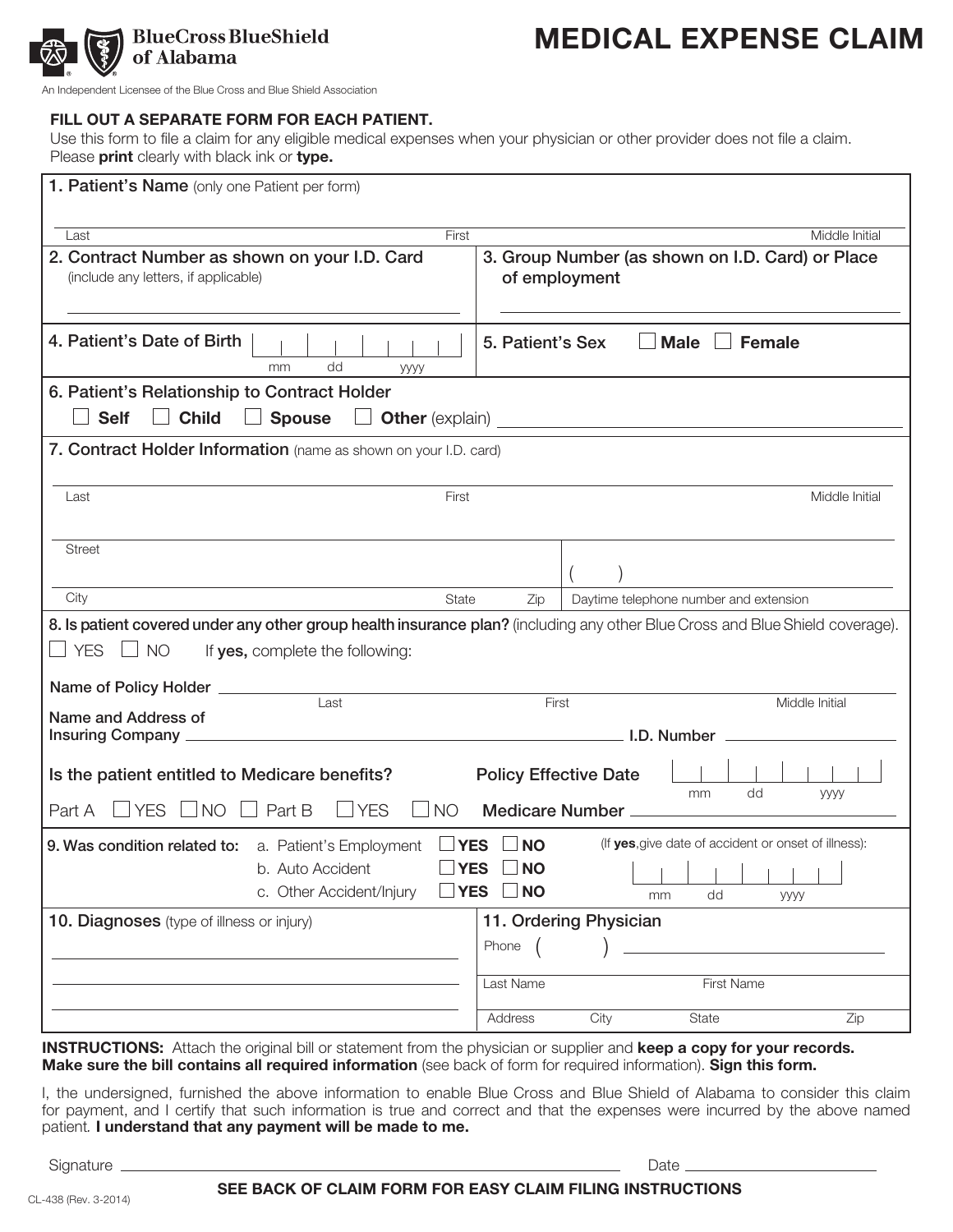

An Independent Licensee of the Blue Cross and Blue Shield Association

#### FILL OUT A SEPARATE FORM FOR EACH PATIENT.

Use this form to file a claim for any eligible medical expenses when your physician or other provider does not file a claim. Please **print** clearly with black ink or **type.** 

| 1. Patient's Name (only one Patient per form)                                                                                                                                                                                                                                                                                                                               |                                                                              |
|-----------------------------------------------------------------------------------------------------------------------------------------------------------------------------------------------------------------------------------------------------------------------------------------------------------------------------------------------------------------------------|------------------------------------------------------------------------------|
| First<br>Last                                                                                                                                                                                                                                                                                                                                                               | Middle Initial                                                               |
| 2. Contract Number as shown on your I.D. Card<br>(include any letters, if applicable)                                                                                                                                                                                                                                                                                       | 3. Group Number (as shown on I.D. Card) or Place<br>of employment            |
| 4. Patient's Date of Birth<br>dd<br>mm<br>уууу                                                                                                                                                                                                                                                                                                                              | <b>Male</b><br><b>Female</b><br>5. Patient's Sex                             |
| 6. Patient's Relationship to Contract Holder                                                                                                                                                                                                                                                                                                                                |                                                                              |
| <b>Self</b><br><b>Child</b><br><b>Spouse</b>                                                                                                                                                                                                                                                                                                                                |                                                                              |
| 7. Contract Holder Information (name as shown on your I.D. card)                                                                                                                                                                                                                                                                                                            |                                                                              |
| Last<br>First                                                                                                                                                                                                                                                                                                                                                               | Middle Initial                                                               |
| <b>Street</b>                                                                                                                                                                                                                                                                                                                                                               |                                                                              |
| City<br>State                                                                                                                                                                                                                                                                                                                                                               | Zip<br>Daytime telephone number and extension                                |
| 8. Is patient covered under any other group health insurance plan? (including any other Blue Cross and Blue Shield coverage).<br>$\Box$ YES $\Box$ NO<br>If yes, complete the following:<br>Name of Policy Holder __________                                                                                                                                                |                                                                              |
| Last<br>Name and Address of                                                                                                                                                                                                                                                                                                                                                 | First<br>Middle Initial                                                      |
| Is the patient entitled to Medicare benefits?<br>'YES [<br>$\Box$ NO<br>Part B<br>$\Box$ YES<br><b>NO</b><br>Part A                                                                                                                                                                                                                                                         | <b>Policy Effective Date</b><br>dd<br>mm<br><b>yyyy</b><br>Medicare Number _ |
| (If yes, give date of accident or onset of illness):<br>$\Box$ YES $\Box$ NO<br>9. Was condition related to: a. Patient's Employment<br>$\Box$ YES $\Box$ NO<br>the contract of the contract of the contract of the contract of the contract of the contract of the contract of<br>b. Auto Accident<br>$\Box$ YES $\Box$ NO<br>c. Other Accident/Injury<br>dd<br>mm<br>уууу |                                                                              |
| 10. Diagnoses (type of illness or injury)                                                                                                                                                                                                                                                                                                                                   | 11. Ordering Physician<br>Phone                                              |
|                                                                                                                                                                                                                                                                                                                                                                             | Last Name<br>First Name                                                      |
|                                                                                                                                                                                                                                                                                                                                                                             | Address<br>City<br>State<br>Zip                                              |

INSTRUCTIONS: Attach the original bill or statement from the physician or supplier and keep a copy for your records. Make sure the bill contains all required information (see back of form for required information). Sign this form.

I, the undersigned, furnished the above information to enable Blue Cross and Blue Shield of Alabama to consider this claim for payment, and I certify that such information is true and correct and that the expenses were incurred by the above named patient. I understand that any payment will be made to me.

Signature Date